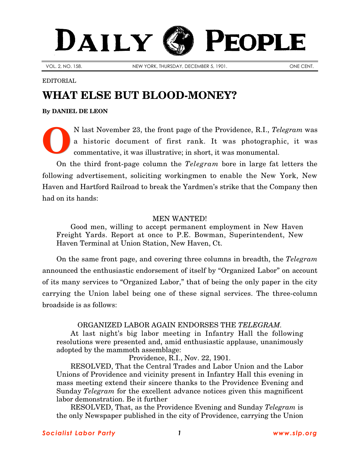## PEOPLE DAILY

VOL. 2, NO. 158. NEW YORK, THURSDAY, DECEMBER 5, 1901. CONFIDENT.

EDITORIAL

## **WHAT ELSE BUT BLOOD-MONEY?**

**By [DANIEL DE LEON](http://slp.org/De_Leon.htm)**

N last November 23, the front page of the Providence, R.I., *Telegram* was a historic document of first rank. It was photographic, it was commentative, it was illustrative; in short, it was monumental. **O**

On the third front-page column the *Telegram* bore in large fat letters the following advertisement, soliciting workingmen to enable the New York, New Haven and Hartford Railroad to break the Yardmen's strike that the Company then had on its hands:

## MEN WANTED!

Good men, willing to accept permanent employment in New Haven Freight Yards. Report at once to P.E. Bowman, Superintendent, New Haven Terminal at Union Station, New Haven, Ct.

On the same front page, and covering three columns in breadth, the *Telegram* announced the enthusiastic endorsement of itself by "Organized Labor" on account of its many services to "Organized Labor," that of being the only paper in the city carrying the Union label being one of these signal services. The three-column broadside is as follows:

## ORGANIZED LABOR AGAIN ENDORSES THE *TELEGRAM.*

At last night's big labor meeting in Infantry Hall the following resolutions were presented and, amid enthusiastic applause, unanimously adopted by the mammoth assemblage:

Providence, R.I., Nov. 22, 1901.

RESOLVED, That the Central Trades and Labor Union and the Labor Unions of Providence and vicinity present in Infantry Hall this evening in mass meeting extend their sincere thanks to the Providence Evening and Sunday *Telegram* for the excellent advance notices given this magnificent labor demonstration. Be it further

RESOLVED, That, as the Providence Evening and Sunday *Telegram* is the only Newspaper published in the city of Providence, carrying the Union

*Socialist Labor Party 1 [www.slp.org](http://slp.org/)*